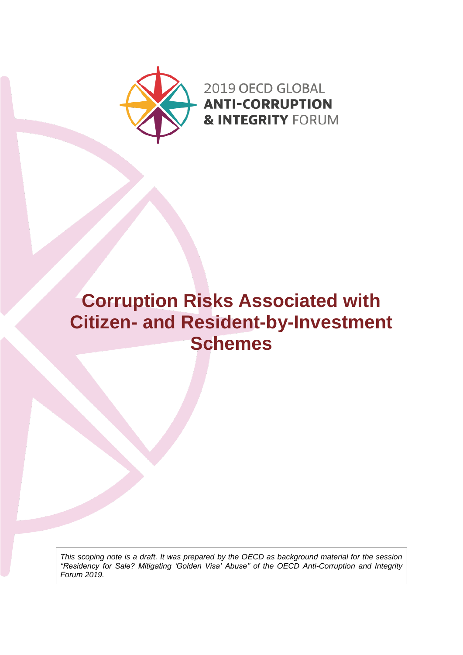

2019 OECD GLOBAL **ANTI-CORRUPTION & INTEGRITY FORUM** 

# **Corruption Risks Associated with Citizen- and Resident-by-Investment Schemes**

*This scoping note is a draft. It was prepared by the OECD as background material for the session "Residency for Sale? Mitigating 'Golden Visa' Abuse" of the OECD Anti-Corruption and Integrity Forum 2019.*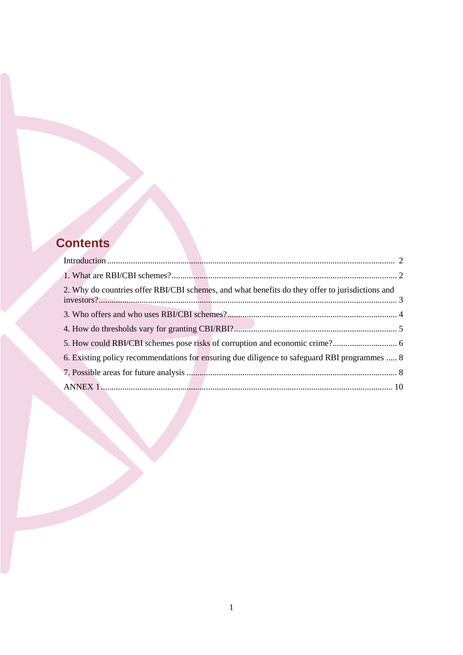## **Contents**

| 2. Why do countries offer RBI/CBI schemes, and what benefits do they offer to jurisdictions and |  |
|-------------------------------------------------------------------------------------------------|--|
|                                                                                                 |  |
|                                                                                                 |  |
|                                                                                                 |  |
| 6. Existing policy recommendations for ensuring due diligence to safeguard RBI programmes  8    |  |
|                                                                                                 |  |
|                                                                                                 |  |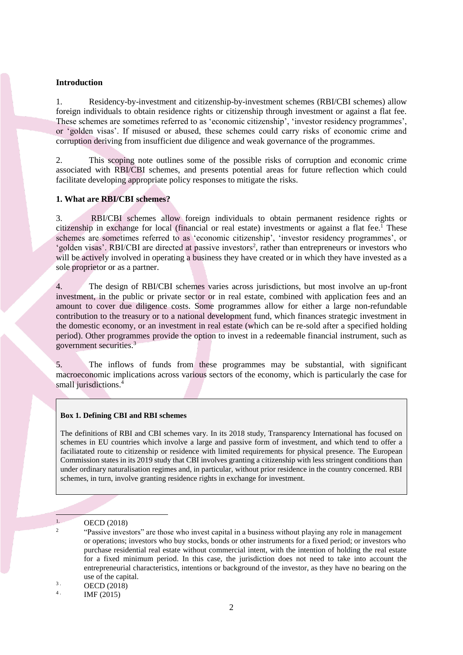#### <span id="page-2-0"></span>**Introduction**

1. Residency-by-investment and citizenship-by-investment schemes (RBI/CBI schemes) allow foreign individuals to obtain residence rights or citizenship through investment or against a flat fee. These schemes are sometimes referred to as 'economic citizenship', 'investor residency programmes', or 'golden visas'. If misused or abused, these schemes could carry risks of economic crime and corruption deriving from insufficient due diligence and weak governance of the programmes.

2. This scoping note outlines some of the possible risks of corruption and economic crime associated with RBI/CBI schemes, and presents potential areas for future reflection which could facilitate developing appropriate policy responses to mitigate the risks.

#### <span id="page-2-1"></span>**1. What are RBI/CBI schemes?**

3. RBI/CBI schemes allow foreign individuals to obtain permanent residence rights or citizenship in exchange for local (financial or real estate) investments or against a flat fee.<sup>1</sup> These schemes are sometimes referred to as 'economic citizenship', 'investor residency programmes', or 'golden visas'. RBI/CBI are directed at passive investors<sup>2</sup>, rather than entrepreneurs or investors who will be actively involved in operating a business they have created or in which they have invested as a sole proprietor or as a partner.

4. The design of RBI/CBI schemes varies across jurisdictions, but most involve an up-front investment, in the public or private sector or in real estate, combined with application fees and an amount to cover due diligence costs. Some programmes allow for either a large non-refundable contribution to the treasury or to a national development fund, which finances strategic investment in the domestic economy, or an investment in real estate (which can be re-sold after a specified holding period). Other programmes provide the option to invest in a redeemable financial instrument, such as government securities.<sup>3</sup>

The inflows of funds from these programmes may be substantial, with significant macroeconomic implications across various sectors of the economy, which is particularly the case for small jurisdictions.<sup>4</sup>

#### **Box 1. Defining CBI and RBI schemes**

The definitions of RBI and CBI schemes vary. In its 2018 study, Transparency International has focused on schemes in EU countries which involve a large and passive form of investment, and which tend to offer a faciliatated route to citizenship or residence with limited requirements for physical presence. The European Commission states in its 2019 study that CBI involves granting a citizenship with less stringent conditions than under ordinary naturalisation regimes and, in particular, without prior residence in the country concerned. RBI schemes, in turn, involve granting residence rights in exchange for investment.

-

2

 $3.$  OECD (2018)  $4<sup>1</sup>$ 

IMF (2015)

<sup>1.</sup> OECD (2018)

<sup>&</sup>quot;Passive investors" are those who invest capital in a business without playing any role in management or operations; investors who buy stocks, bonds or other instruments for a fixed period; or investors who purchase residential real estate without commercial intent, with the intention of holding the real estate for a fixed minimum period. In this case, the jurisdiction does not need to take into account the entrepreneurial characteristics, intentions or background of the investor, as they have no bearing on the use of the capital.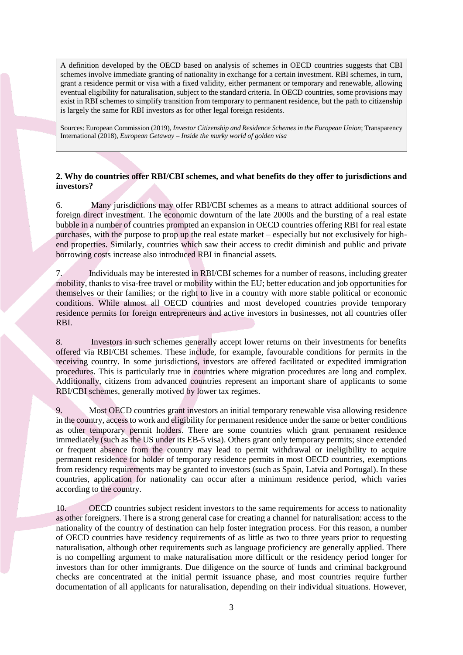A definition developed by the OECD based on analysis of schemes in OECD countries suggests that CBI schemes involve immediate granting of nationality in exchange for a certain investment. RBI schemes, in turn, grant a residence permit or visa with a fixed validity, either permanent or temporary and renewable, allowing eventual eligibility for naturalisation, subject to the standard criteria. In OECD countries, some provisions may exist in RBI schemes to simplify transition from temporary to permanent residence, but the path to citizenship is largely the same for RBI investors as for other legal foreign residents.

Sources: European Commission (2019), *Investor Citizenship and Residence Schemes in the European Union*; Transparency International (2018), *European Getaway – Inside the murky world of golden visa*

## <span id="page-3-0"></span>**2. Why do countries offer RBI/CBI schemes, and what benefits do they offer to jurisdictions and investors?**

6. Many jurisdictions may offer RBI/CBI schemes as a means to attract additional sources of foreign direct investment. The economic downturn of the late 2000s and the bursting of a real estate bubble in a number of countries prompted an expansion in OECD countries offering RBI for real estate purchases, with the purpose to prop up the real estate market – especially but not exclusively for highend properties. Similarly, countries which saw their access to credit diminish and public and private borrowing costs increase also introduced RBI in financial assets.

7. Individuals may be interested in RBI/CBI schemes for a number of reasons, including greater mobility, thanks to visa-free travel or mobility within the EU; better education and job opportunities for themselves or their families; or the right to live in a country with more stable political or economic conditions. While almost all OECD countries and most developed countries provide temporary residence permits for foreign entrepreneurs and active investors in businesses, not all countries offer RBI.

8. Investors in such schemes generally accept lower returns on their investments for benefits offered via RBI/CBI schemes. These include, for example, favourable conditions for permits in the receiving country. In some jurisdictions, investors are offered facilitated or expedited immigration procedures. This is particularly true in countries where migration procedures are long and complex. Additionally, citizens from advanced countries represent an important share of applicants to some RBI/CBI schemes, generally motived by lower tax regimes.

9. Most OECD countries grant investors an initial temporary renewable visa allowing residence in the country, access to work and eligibility for permanent residence under the same or better conditions as other temporary permit holders. There are some countries which grant permanent residence immediately (such as the US under its EB-5 visa). Others grant only temporary permits; since extended or frequent absence from the country may lead to permit withdrawal or ineligibility to acquire permanent residence for holder of temporary residence permits in most OECD countries, exemptions from residency requirements may be granted to investors (such as Spain, Latvia and Portugal). In these countries, application for nationality can occur after a minimum residence period, which varies according to the country.

10. OECD countries subject resident investors to the same requirements for access to nationality as other foreigners. There is a strong general case for creating a channel for naturalisation: access to the nationality of the country of destination can help foster integration process. For this reason, a number of OECD countries have residency requirements of as little as two to three years prior to requesting naturalisation, although other requirements such as language proficiency are generally applied. There is no compelling argument to make naturalisation more difficult or the residency period longer for investors than for other immigrants. Due diligence on the source of funds and criminal background checks are concentrated at the initial permit issuance phase, and most countries require further documentation of all applicants for naturalisation, depending on their individual situations. However,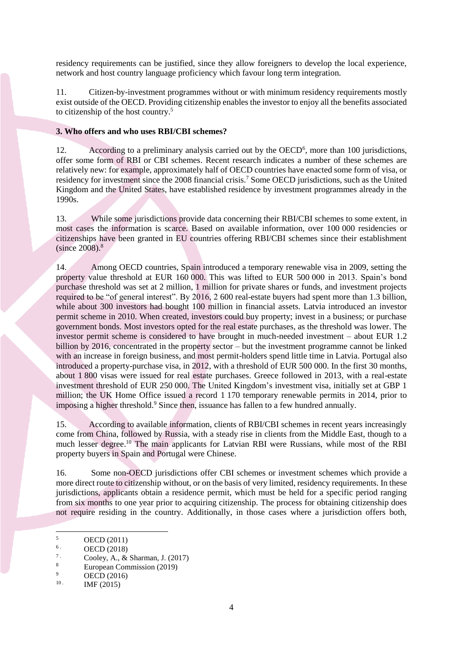residency requirements can be justified, since they allow foreigners to develop the local experience, network and host country language proficiency which favour long term integration.

11. Citizen-by-investment programmes without or with minimum residency requirements mostly exist outside of the OECD. Providing citizenship enables the investor to enjoy all the benefits associated to citizenship of the host country.<sup>5</sup>

## <span id="page-4-0"></span>**3. Who offers and who uses RBI/CBI schemes?**

12. According to a preliminary analysis carried out by the OECD<sup>6</sup>, more than 100 jurisdictions, offer some form of RBI or CBI schemes. Recent research indicates a number of these schemes are relatively new: for example, approximately half of OECD countries have enacted some form of visa, or residency for investment since the 2008 financial crisis.<sup>7</sup> Some OECD jurisdictions, such as the United Kingdom and the United States, have established residence by investment programmes already in the 1990s.

13. While some jurisdictions provide data concerning their RBI/CBI schemes to some extent, in most cases the information is scarce. Based on available information, over 100 000 residencies or citizenships have been granted in EU countries offering RBI/CBI schemes since their establishment  $(since 2008).$ <sup>8</sup>

14. Among OECD countries, Spain introduced a temporary renewable visa in 2009, setting the property value threshold at EUR 160 000. This was lifted to EUR 500 000 in 2013. Spain's bond purchase threshold was set at 2 million, 1 million for private shares or funds, and investment projects required to be "of general interest". By 2016, 2 600 real-estate buyers had spent more than 1.3 billion, while about 300 investors had bought 100 million in financial assets. Latvia introduced an investor permit scheme in 2010. When created, investors could buy property; invest in a business; or purchase government bonds. Most investors opted for the real estate purchases, as the threshold was lower. The investor permit scheme is considered to have brought in much-needed investment – about EUR 1.2 billion by 2016, concentrated in the property sector – but the investment programme cannot be linked with an increase in foreign business, and most permit-holders spend little time in Latvia. Portugal also introduced a property-purchase visa, in 2012, with a threshold of EUR 500 000. In the first 30 months, about 1 800 visas were issued for real estate purchases. Greece followed in 2013, with a real-estate investment threshold of EUR 250 000. The United Kingdom's investment visa, initially set at GBP 1 million; the UK Home Office issued a record 1 170 temporary renewable permits in 2014, prior to imposing a higher threshold.<sup>9</sup> Since then, issuance has fallen to a few hundred annually.

15. According to available information, clients of RBI/CBI schemes in recent years increasingly come from China, followed by Russia, with a steady rise in clients from the Middle East, though to a much lesser degree.<sup>10</sup> The main applicants for Latvian RBI were Russians, while most of the RBI property buyers in Spain and Portugal were Chinese.

16. Some non-OECD jurisdictions offer CBI schemes or investment schemes which provide a more direct route to citizenship without, or on the basis of very limited, residency requirements. In these jurisdictions, applicants obtain a residence permit, which must be held for a specific period ranging from six months to one year prior to acquiring citizenship. The process for obtaining citizenship does not require residing in the country. Additionally, in those cases where a jurisdiction offers both,

<u>.</u>

<sup>5</sup> OECD (2011)

<sup>&</sup>lt;sup>6</sup> . **OECD** (2018)

<sup>&</sup>lt;sup>7</sup> Cooley, A., & Sharman, J. (2017)

<sup>&</sup>lt;sup>8</sup><br>European Commission (2019)

OECD (2016) 10 .

IMF (2015)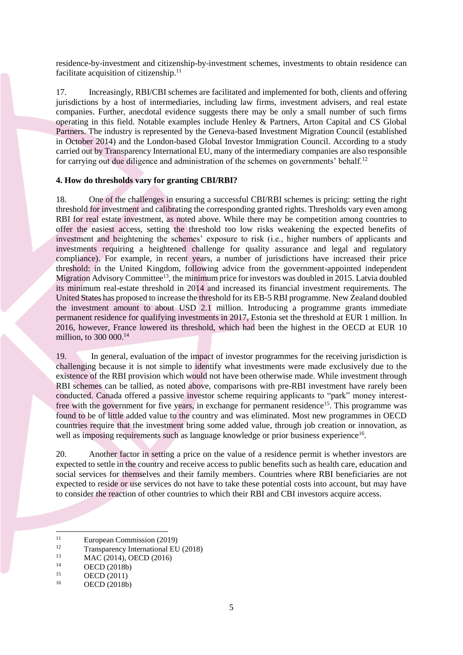residence-by-investment and citizenship-by-investment schemes, investments to obtain residence can facilitate acquisition of citizenship.<sup>11</sup>

17. Increasingly, RBI/CBI schemes are facilitated and implemented for both, clients and offering jurisdictions by a host of intermediaries, including law firms, investment advisers, and real estate companies. Further, anecdotal evidence suggests there may be only a small number of such firms operating in this field. Notable examples include Henley & Partners, Arton Capital and CS Global Partners. The industry is represented by the Geneva-based Investment Migration Council (established in October 2014) and the London-based Global Investor Immigration Council. According to a study carried out by Transparency International EU, many of the intermediary companies are also responsible for carrying out due diligence and administration of the schemes on governments' behalf.<sup>12</sup>

### <span id="page-5-0"></span>**4. How do thresholds vary for granting CBI/RBI?**

18. One of the challenges in ensuring a successful CBI/RBI schemes is pricing: setting the right threshold for investment and calibrating the corresponding granted rights. Thresholds vary even among RBI for real estate investment, as noted above. While there may be competition among countries to offer the easiest access, setting the threshold too low risks weakening the expected benefits of investment and heightening the schemes' exposure to risk (i.e., higher numbers of applicants and investments requiring a heightened challenge for quality assurance and legal and regulatory compliance). For example, in recent years, a number of jurisdictions have increased their price threshold: in the United Kingdom, following advice from the government-appointed independent Migration Advisory Committee<sup>13</sup>, the minimum price for investors was doubled in 2015. Latvia doubled its minimum real-estate threshold in 2014 and increased its financial investment requirements. The United States has proposed to increase the threshold for its EB-5 RBI programme. New Zealand doubled the investment amount to about USD 2.1 million. Introducing a programme grants immediate permanent residence for qualifying investments in 2017, Estonia set the threshold at EUR 1 million. In 2016, however, France lowered its threshold, which had been the highest in the OECD at EUR 10 million, to 300 000.<sup>14</sup>

19. In general, evaluation of the impact of investor programmes for the receiving jurisdiction is challenging because it is not simple to identify what investments were made exclusively due to the existence of the RBI provision which would not have been otherwise made. While investment through RBI schemes can be tallied, as noted above, comparisons with pre-RBI investment have rarely been conducted. Canada offered a passive investor scheme requiring applicants to "park" money interestfree with the government for five years, in exchange for permanent residence<sup>15</sup>. This programme was found to be of little added value to the country and was eliminated. Most new programmes in OECD countries require that the investment bring some added value, through job creation or innovation, as well as imposing requirements such as language knowledge or prior business experience<sup>16</sup>.

20. Another factor in setting a price on the value of a residence permit is whether investors are expected to settle in the country and receive access to public benefits such as health care, education and social services for themselves and their family members. Countries where RBI beneficiaries are not expected to reside or use services do not have to take these potential costs into account, but may have to consider the reaction of other countries to which their RBI and CBI investors acquire access.

<u>.</u>

 $11$  European Commission (2019)

<sup>&</sup>lt;sup>12</sup> Transparency International EU (2018)<br><sup>13</sup> MAC (2014) OECD (2016)

<sup>&</sup>lt;sup>13</sup> MAC (2014), OECD (2016)<br><sup>14</sup> OECD (2018b)

 $14 \qquad \qquad \text{OECD} (2018b)$ <br> $15 \qquad \qquad \text{OECD} (2011)$ 

 $15$  OECD (2011)<br> $16$  OECD (2018b)

OECD (2018b)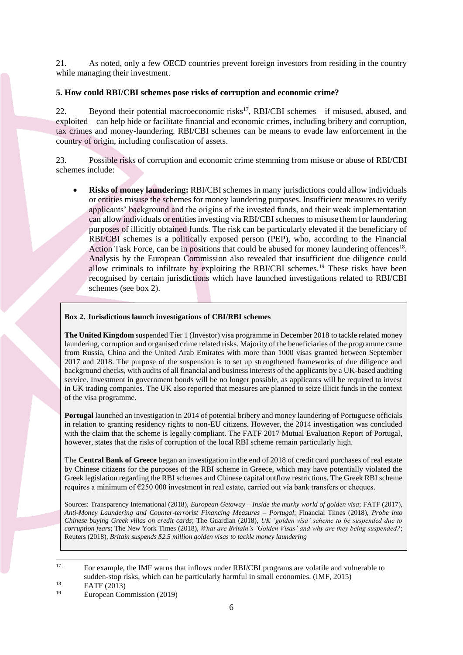21. As noted, only a few OECD countries prevent foreign investors from residing in the country while managing their investment.

## <span id="page-6-0"></span>**5. How could RBI/CBI schemes pose risks of corruption and economic crime?**

22. Beyond their potential macroeconomic risks<sup>17</sup>, RBI/CBI schemes—if misused, abused, and exploited—can help hide or facilitate financial and economic crimes, including bribery and corruption, tax crimes and money-laundering. RBI/CBI schemes can be means to evade law enforcement in the country of origin, including confiscation of assets.

23. Possible risks of corruption and economic crime stemming from misuse or abuse of RBI/CBI schemes include:

 **Risks of money laundering:** RBI/CBI schemes in many jurisdictions could allow individuals or entities misuse the schemes for money laundering purposes. Insufficient measures to verify applicants' background and the origins of the invested funds, and their weak implementation can allow individuals or entities investing via RBI/CBI schemes to misuse them for laundering purposes of illicitly obtained funds. The risk can be particularly elevated if the beneficiary of RBI/CBI schemes is a politically exposed person (PEP), who, according to the Financial Action Task Force, can be in positions that could be abused for money laundering offences<sup>18</sup>. Analysis by the European Commission also revealed that insufficient due diligence could allow criminals to infiltrate by exploiting the RBI/CBI schemes.<sup>19</sup> These risks have been recognised by certain jurisdictions which have launched investigations related to RBI/CBI schemes (see box 2).

### **Box 2. Jurisdictions launch investigations of CBI/RBI schemes**

**The United Kingdom** suspended Tier 1 (Investor) visa programme in December 2018 to tackle related money laundering, corruption and organised crime related risks. Majority of the beneficiaries of the programme came from Russia, China and the United Arab Emirates with more than 1000 visas granted between September 2017 and 2018. The purpose of the suspension is to set up strengthened frameworks of due diligence and background checks, with audits of all financial and business interests of the applicants by a UK-based auditing service. Investment in government bonds will be no longer possible, as applicants will be required to invest in UK trading companies. The UK also reported that measures are planned to seize illicit funds in the context of the visa programme.

**Portugal** launched an investigation in 2014 of potential bribery and money laundering of Portuguese officials in relation to granting residency rights to non-EU citizens. However, the 2014 investigation was concluded with the claim that the scheme is legally compliant. The FATF 2017 Mutual Evaluation Report of Portugal, however, states that the risks of corruption of the local RBI scheme remain particularly high.

The **Central Bank of Greece** began an investigation in the end of 2018 of credit card purchases of real estate by Chinese citizens for the purposes of the RBI scheme in Greece, which may have potentially violated the Greek legislation regarding the RBI schemes and Chinese capital outflow restrictions. The Greek RBI scheme requires a minimum of €250 000 investment in real estate, carried out via bank transfers or cheques.

Sources: Transparency International (2018), *European Getaway – Inside the murky world of golden visa*; FATF (2017), *Anti-Money Laundering and Counter-terrorist Financing Measures – Portugal*; Financial Times (2018), *Probe into Chinese buying Greek villas on credit cards*; The Guardian (2018), *UK 'golden visa' scheme to be suspended due to corruption fears*; The New York Times (2018), *What are Britain's 'Golden Visas' and why are they being suspended?*; Reuters (2018), *Britain suspends \$2.5 million golden visas to tackle money laundering*

 $17.$ <sup>17</sup> . For example, the IMF warns that inflows under RBI/CBI programs are volatile and vulnerable to sudden-stop risks, which can be particularly harmful in small economies. (IMF, 2015)

 $\frac{18}{19}$  FATF (2013)

European Commission (2019)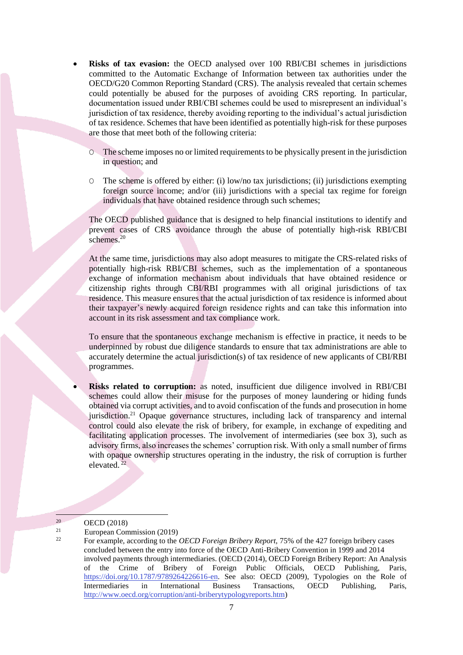- **Risks of tax evasion:** the OECD analysed over 100 RBI/CBI schemes in jurisdictions committed to the Automatic Exchange of Information between tax authorities under the OECD/G20 Common Reporting Standard (CRS). The analysis revealed that certain schemes could potentially be abused for the purposes of avoiding CRS reporting. In particular, documentation issued under RBI/CBI schemes could be used to misrepresent an individual's jurisdiction of tax residence, thereby avoiding reporting to the individual's actual jurisdiction of tax residence. Schemes that have been identified as potentially high-risk for these purposes are those that meet both of the following criteria:
	- O The scheme imposes no or limited requirements to be physically present in the jurisdiction in question; and
	- $\circ$  The scheme is offered by either: (i) low/no tax jurisdictions; (ii) jurisdictions exempting foreign source income; and/or (iii) jurisdictions with a special tax regime for foreign individuals that have obtained residence through such schemes;

The OECD published guidance that is designed to help financial institutions to identify and prevent cases of CRS avoidance through the abuse of potentially high-risk RBI/CBI schemes.<sup>20</sup>

At the same time, jurisdictions may also adopt measures to mitigate the CRS-related risks of potentially high-risk RBI/CBI schemes, such as the implementation of a spontaneous exchange of information mechanism about individuals that have obtained residence or citizenship rights through CBI/RBI programmes with all original jurisdictions of tax residence. This measure ensures that the actual jurisdiction of tax residence is informed about their taxpayer's newly acquired foreign residence rights and can take this information into account in its risk assessment and tax compliance work.

To ensure that the spontaneous exchange mechanism is effective in practice, it needs to be underpinned by robust due diligence standards to ensure that tax administrations are able to accurately determine the actual jurisdiction(s) of tax residence of new applicants of CBI/RBI programmes.

 **Risks related to corruption:** as noted, insufficient due diligence involved in RBI/CBI schemes could allow their misuse for the purposes of money laundering or hiding funds obtained via corrupt activities, and to avoid confiscation of the funds and prosecution in home jurisdiction.<sup>21</sup> Opaque governance structures, including lack of transparency and internal control could also elevate the risk of bribery, for example, in exchange of expediting and facilitating application processes. The involvement of intermediaries (see box 3), such as advisory firms, also increases the schemes' corruption risk. With only a small number of firms with opaque ownership structures operating in the industry, the risk of corruption is further elevated. $22$ 

-

<sup>20</sup> OECD (2018)

<sup>21</sup>  $\frac{21}{22}$  European Commission (2019)

<sup>22</sup> For example, according to the *OECD Foreign Bribery Report,* 75% of the 427 foreign bribery cases concluded between the entry into force of the OECD Anti-Bribery Convention in 1999 and 2014 involved payments through intermediaries. (OECD (2014), OECD Foreign Bribery Report: An Analysis of the Crime of Bribery of Foreign Public Officials, OECD Publishing, Paris, [https://doi.org/10.1787/9789264226616-en.](https://doi.org/10.1787/9789264226616-en) See also: OECD (2009), Typologies on the Role of Intermediaries in International Business Transactions, OECD Publishing, Paris, [http://www.oecd.org/corruption/anti-briberytypologyreports.htm\)](http://www.oecd.org/corruption/anti-briberytypologyreports.htm)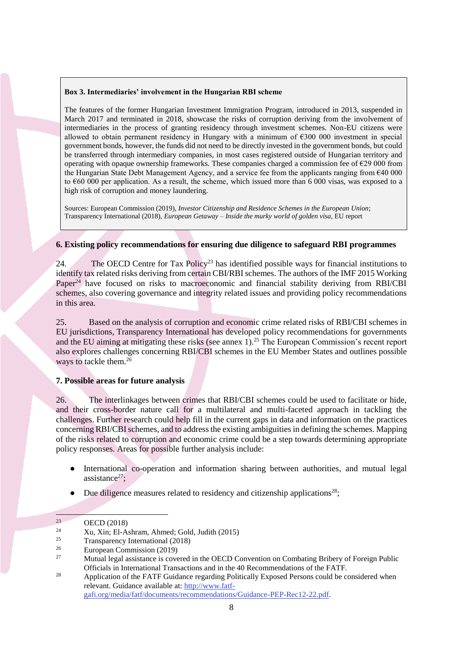#### **Box 3. Intermediaries' involvement in the Hungarian RBI scheme**

The features of the former Hungarian Investment Immigration Program, introduced in 2013, suspended in March 2017 and terminated in 2018, showcase the risks of corruption deriving from the involvement of intermediaries in the process of granting residency through investment schemes. Non-EU citizens were allowed to obtain permanent residency in Hungary with a minimum of  $6300\,000$  investment in special government bonds, however, the funds did not need to be directly invested in the government bonds, but could be transferred through intermediary companies, in most cases registered outside of Hungarian territory and operating with opaque ownership frameworks. These companies charged a commission fee of  $\epsilon$ 29 000 from the Hungarian State Debt Management Agency, and a service fee from the applicants ranging from  $640\,000$ to €60 000 per application. As a result, the scheme, which issued more than 6 000 visas, was exposed to a high risk of corruption and money laundering.

Sources: European Commission (2019), *Investor Citizenship and Residence Schemes in the European Union*; Transparency International (2018), *European Getaway – Inside the murky world of golden visa*, EU report

### <span id="page-8-0"></span>**6. Existing policy recommendations for ensuring due diligence to safeguard RBI programmes**

24. The OECD Centre for Tax Policy<sup>23</sup> has identified possible ways for financial institutions to identify tax related risks deriving from certain CBI/RBI schemes. The authors of the IMF 2015 Working Paper<sup>24</sup> have focused on risks to macroeconomic and financial stability deriving from RBI/CBI schemes, also covering governance and integrity related issues and providing policy recommendations in this area.

25. Based on the analysis of corruption and economic crime related risks of RBI/CBI schemes in EU jurisdictions, Transparency International has developed policy recommendations for governments and the EU aiming at mitigating these risks (see annex 1).<sup>25</sup> The European Commission's recent report also explores challenges concerning RBI/CBI schemes in the EU Member States and outlines possible ways to tackle them.<sup>26</sup>

### <span id="page-8-1"></span>**7. Possible areas for future analysis**

26. The interlinkages between crimes that RBI/CBI schemes could be used to facilitate or hide, and their cross-border nature call for a multilateral and multi-faceted approach in tackling the challenges. Further research could help fill in the current gaps in data and information on the practices concerning RBI/CBI schemes, and to address the existing ambiguities in defining the schemes. Mapping of the risks related to corruption and economic crime could be a step towards determining appropriate policy responses. Areas for possible further analysis include:

- International co-operation and information sharing between authorities, and mutual legal assistance $27$ :
- Due diligence measures related to residency and citizenship applications<sup>28</sup>;

-

 $23$  OECD (2018)

<sup>&</sup>lt;sup>24</sup> Xu, Xin; El-Ashram, Ahmed; Gold, Judith (2015)<br><sup>25</sup> Transportance: International (2019)

<sup>&</sup>lt;sup>25</sup> Transparency International (2018)<br><sup>26</sup> European Commission (2019)

<sup>&</sup>lt;sup>26</sup> European Commission (2019)

<sup>27</sup> Mutual legal assistance is covered in the OECD Convention on Combating Bribery of Foreign Public Officials in International Transactions and in the 40 Recommendations of the FATF.

<sup>&</sup>lt;sup>28</sup> Application of the FATF Guidance regarding Politically Exposed Persons could be considered when relevant. Guidance available at: [http://www.fatf](http://www.fatf-gafi.org/media/fatf/documents/recommendations/Guidance-PEP-Rec12-22.pdf)[gafi.org/media/fatf/documents/recommendations/Guidance-PEP-Rec12-22.pdf.](http://www.fatf-gafi.org/media/fatf/documents/recommendations/Guidance-PEP-Rec12-22.pdf)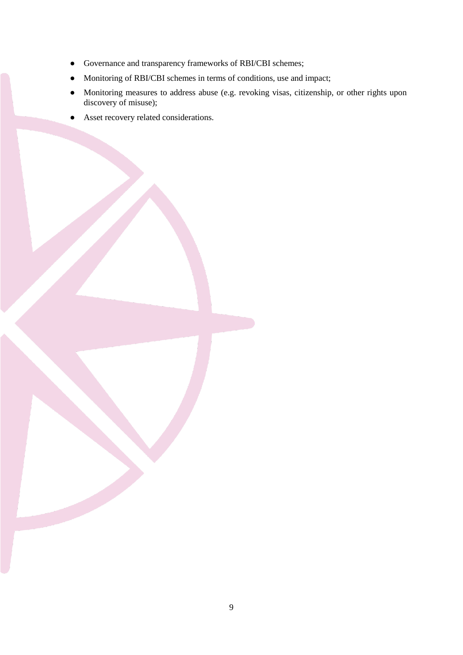- Governance and transparency frameworks of RBI/CBI schemes;
- Monitoring of RBI/CBI schemes in terms of conditions, use and impact;
- Monitoring measures to address abuse (e.g. revoking visas, citizenship, or other rights upon discovery of misuse);
- Asset recovery related considerations.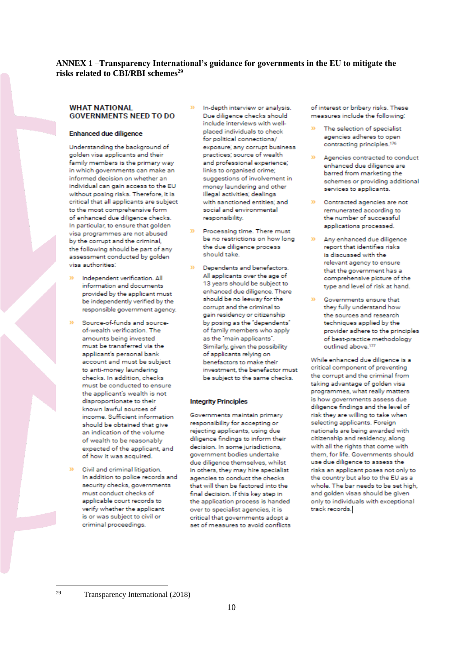#### <span id="page-10-0"></span>**ANNEX 1 –Transparency International's guidance for governments in the EU to mitigate the risks related to CBI/RBI schemes<sup>29</sup>**

#### **WHAT NATIONAL GOVERNMENTS NEED TO DO**

#### **Enhanced due diligence**

Understanding the background of golden visa applicants and their family members is the primary way in which governments can make an informed decision on whether an individual can gain access to the EU without posing risks. Therefore, it is critical that all applicants are subject to the most comprehensive form of enhanced due diligence checks. In particular, to ensure that golden visa programmes are not abused by the corrupt and the criminal, the following should be part of any assessment conducted by golden visa authorities:

- Independent verification. All information and documents provided by the applicant must be independently verified by the responsible government agency.
- Source-of-funds and sourceof-wealth verification. The amounts being invested must be transferred via the applicant's personal bank account and must be subject to anti-money laundering checks. In addition, checks must be conducted to ensure the applicant's wealth is not disproportionate to their known lawful sources of income. Sufficient information should be obtained that give an indication of the volume of wealth to be reasonably expected of the applicant, and of how it was acquired.
- Civil and criminal litigation. In addition to police records and security checks, governments must conduct checks of applicable court records to verify whether the applicant is or was subject to civil or criminal proceedings.
- In-depth interview or analysis. Due diligence checks should include interviews with wellplaced individuals to check for political connections/ exposure; any corrupt business practices; source of wealth and professional experience: links to organised crime; suggestions of involvement in money laundering and other illegal activities; dealings with sanctioned entities: and social and environmental responsibility.
- Processing time. There must be no restrictions on how long the due diligence process should take.
	- Dependents and benefactors. All applicants over the age of 13 years should be subject to enhanced due diligence. There should be no leeway for the corrupt and the criminal to gain residency or citizenship by posing as the 'dependents' of family members who apply as the "main applicants". Similarly, given the possibility of applicants relying on benefactors to make their investment, the benefactor must be subject to the same checks.

#### **Integrity Principles**

Governments maintain primary responsibility for accepting or rejecting applicants, using due diligence findings to inform their decision. In some jurisdictions, government bodies undertake due diligence themselves, whilst in others, they may hire specialist agencies to conduct the checks that will then be factored into the final decision. If this key step in the application process is handed over to specialist agencies, it is critical that governments adopt a set of measures to avoid conflicts of interest or bribery risks. These measures include the following:

- The selection of specialist agencies adheres to open contracting principles.<sup>176</sup>
- Agencies contracted to conduct enhanced due diligence are barred from marketing the schemes or providing additional services to applicants.
- <sup>33</sup> Contracted agencies are not remunerated according to the number of successful applications processed.
- Any enhanced due diligence YS. report that identifies risks is discussed with the relevant agency to ensure that the government has a comprehensive picture of the type and level of risk at hand.
- Governments ensure that they fully understand how the sources and research. techniques applied by the provider adhere to the principles of best-practice methodology outlined above.<sup>177</sup>

While enhanced due diligence is a critical component of preventing the corrupt and the criminal from taking advantage of golden visa programmes, what really matters is how governments assess due diligence findings and the level of risk they are willing to take when selecting applicants. Foreign nationals are being awarded with citizenship and residency, along with all the rights that come with them, for life. Governments should use due diligence to assess the risks an applicant poses not only to the country but also to the EU as a whole. The bar needs to be set high, and golden visas should be given only to individuals with exceptional track records.

29

Transparency International (2018)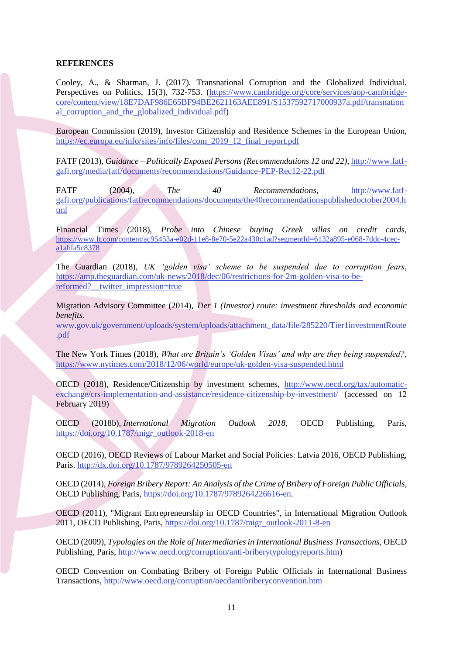#### **REFERENCES**

Cooley, A., & Sharman, J. (2017). Transnational Corruption and the Globalized Individual. Perspectives on Politics, 15(3), 732-753. [\(https://www.cambridge.org/core/services/aop-cambridge](https://www.cambridge.org/core/services/aop-cambridge-core/content/view/18E7DAF986E65BF94BE2621163AEE891/S1537592717000937a.pdf/transnational_corruption_and_the_globalized_individual.pdf)[core/content/view/18E7DAF986E65BF94BE2621163AEE891/S1537592717000937a.pdf/transnation](https://www.cambridge.org/core/services/aop-cambridge-core/content/view/18E7DAF986E65BF94BE2621163AEE891/S1537592717000937a.pdf/transnational_corruption_and_the_globalized_individual.pdf) al corruption and the globalized individual.pdf)

European Commission (2019), Investor Citizenship and Residence Schemes in the European Union, [https://ec.europa.eu/info/sites/info/files/com\\_2019\\_12\\_final\\_report.pdf](https://ec.europa.eu/info/sites/info/files/com_2019_12_final_report.pdf)

FATF (2013), *Guidance – Politically Exposed Persons (Recommendations 12 and 22)*[, http://www.fatf](http://www.fatf-gafi.org/media/fatf/documents/recommendations/Guidance-PEP-Rec12-22.pdf)[gafi.org/media/fatf/documents/recommendations/Guidance-PEP-Rec12-22.pdf](http://www.fatf-gafi.org/media/fatf/documents/recommendations/Guidance-PEP-Rec12-22.pdf)

FATF (2004), *The 40 Recommendations*, [http://www.fatf](http://www.fatf-gafi.org/publications/fatfrecommendations/documents/the40recommendationspublishedoctober2004.html)[gafi.org/publications/fatfrecommendations/documents/the40recommendationspublishedoctober2004.h](http://www.fatf-gafi.org/publications/fatfrecommendations/documents/the40recommendationspublishedoctober2004.html) [tml](http://www.fatf-gafi.org/publications/fatfrecommendations/documents/the40recommendationspublishedoctober2004.html)

Financial Times (2018), *Probe into Chinese buying Greek villas on credit cards,*  [https://www.ft.com/content/ac95453a-e02d-11e8-8e70-5e22a430c1ad?segmentId=6132a895-e068-7ddc-4cec](https://www.ft.com/content/ac95453a-e02d-11e8-8e70-5e22a430c1ad?segmentId=6132a895-e068-7ddc-4cec-a1abfa5c8378)[a1abfa5c8378](https://www.ft.com/content/ac95453a-e02d-11e8-8e70-5e22a430c1ad?segmentId=6132a895-e068-7ddc-4cec-a1abfa5c8378)

The Guardian (2018), *UK 'golden visa' scheme to be suspended due to corruption fears*, [https://amp.theguardian.com/uk-news/2018/dec/06/restrictions-for-2m-golden-visa-to-be](https://amp.theguardian.com/uk-news/2018/dec/06/restrictions-for-2m-golden-visa-to-be-reformed?__twitter_impression=true)reformed? twitter\_impression=true

Migration Advisory Committee (2014), *Tier 1 (Investor) route: investment thresholds and economic benefits*.

[www.gov.uk/government/uploads/system/uploads/attachment\\_data/file/285220/Tier1investmentRoute](http://www.gov.uk/government/uploads/system/uploads/attachment_data/file/285220/Tier1investmentRoute.pdf) [.pdf](http://www.gov.uk/government/uploads/system/uploads/attachment_data/file/285220/Tier1investmentRoute.pdf)

The New York Times (2018), *What are Britain's 'Golden Visas' and why are they being suspended?*, <https://www.nytimes.com/2018/12/06/world/europe/uk-golden-visa-suspended.html>

OECD (2018), Residence/Citizenship by investment schemes, [http://www.oecd.org/tax/automatic](http://www.oecd.org/tax/automatic-exchange/crs-implementation-and-assistance/residence-citizenship-by-investment/)[exchange/crs-implementation-and-assistance/residence-citizenship-by-investment/](http://www.oecd.org/tax/automatic-exchange/crs-implementation-and-assistance/residence-citizenship-by-investment/) (accessed on 12 February 2019)

OECD (2018b), *International Migration Outlook 2018*, OECD Publishing, Paris, [https://doi.org/10.1787/migr\\_outlook-2018-en](https://doi.org/10.1787/migr_outlook-2018-en)

OECD (2016), OECD Reviews of Labour Market and Social Policies: Latvia 2016, OECD Publishing, Paris.<http://dx.doi.org/10.1787/9789264250505-en>

OECD (2014), *Foreign Bribery Report: An Analysis of the Crime of Bribery of Foreign Public Officials*, OECD Publishing, Paris, [https://doi.org/10.1787/9789264226616-en.](https://doi.org/10.1787/9789264226616-en)

OECD (2011), "Migrant Entrepreneurship in OECD Countries", in International Migration Outlook 2011, OECD Publishing, Paris, [https://doi.org/10.1787/migr\\_outlook-2011-8-en](https://doi.org/10.1787/migr_outlook-2011-8-en)

OECD (2009), *Typologies on the Role of Intermediaries in International Business Transactions,* OECD Publishing, Paris, [http://www.oecd.org/corruption/anti-briberytypologyreports.htm\)](http://www.oecd.org/corruption/anti-briberytypologyreports.htm)

OECD Convention on Combating Bribery of Foreign Public Officials in International Business Transactions[, http://www.oecd.org/corruption/oecdantibriberyconvention.htm](http://www.oecd.org/corruption/oecdantibriberyconvention.htm)